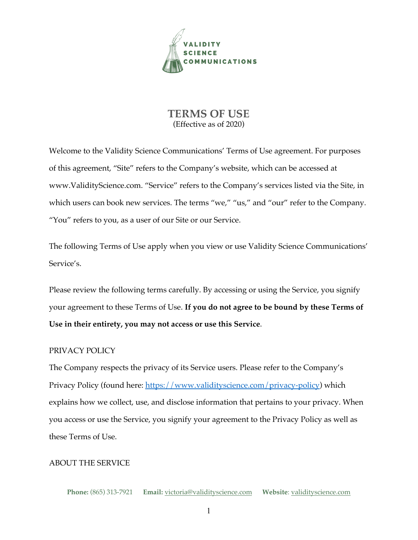

# **TERMS OF USE** (Effective as of 2020)

Welcome to the Validity Science Communications' Terms of Use agreement. For purposes of this agreement, "Site" refers to the Company's website, which can be accessed at www.ValidityScience.com. "Service" refers to the Company's services listed via the Site, in which users can book new services. The terms "we," "us," and "our" refer to the Company. "You" refers to you, as a user of our Site or our Service.

The following Terms of Use apply when you view or use Validity Science Communications' Service's.

Please review the following terms carefully. By accessing or using the Service, you signify your agreement to these Terms of Use. **If you do not agree to be bound by these Terms of Use in their entirety, you may not access or use this Service**.

# PRIVACY POLICY

The Company respects the privacy of its Service users. Please refer to the Company's Privacy Policy (found here: https://www.validityscience.com/privacy-policy) which explains how we collect, use, and disclose information that pertains to your privacy. When you access or use the Service, you signify your agreement to the Privacy Policy as well as these Terms of Use.

## ABOUT THE SERVICE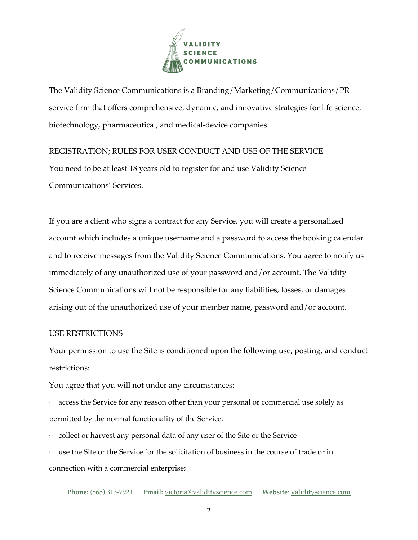

The Validity Science Communications is a Branding/Marketing/Communications/PR service firm that offers comprehensive, dynamic, and innovative strategies for life science, biotechnology, pharmaceutical, and medical-device companies.

REGISTRATION; RULES FOR USER CONDUCT AND USE OF THE SERVICE You need to be at least 18 years old to register for and use Validity Science Communications' Services.

If you are a client who signs a contract for any Service, you will create a personalized account which includes a unique username and a password to access the booking calendar and to receive messages from the Validity Science Communications. You agree to notify us immediately of any unauthorized use of your password and/or account. The Validity Science Communications will not be responsible for any liabilities, losses, or damages arising out of the unauthorized use of your member name, password and/or account.

#### USE RESTRICTIONS

Your permission to use the Site is conditioned upon the following use, posting, and conduct restrictions:

You agree that you will not under any circumstances:

access the Service for any reason other than your personal or commercial use solely as permitted by the normal functionality of the Service,

· collect or harvest any personal data of any user of the Site or the Service

use the Site or the Service for the solicitation of business in the course of trade or in connection with a commercial enterprise;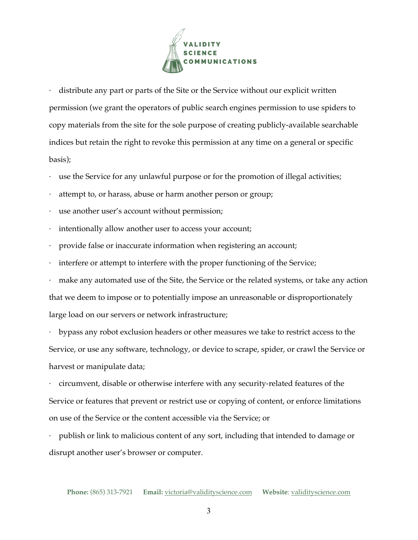

distribute any part or parts of the Site or the Service without our explicit written permission (we grant the operators of public search engines permission to use spiders to copy materials from the site for the sole purpose of creating publicly-available searchable indices but retain the right to revoke this permission at any time on a general or specific basis);

- use the Service for any unlawful purpose or for the promotion of illegal activities;
- attempt to, or harass, abuse or harm another person or group;
- use another user's account without permission;
- intentionally allow another user to access your account;
- · provide false or inaccurate information when registering an account;
- interfere or attempt to interfere with the proper functioning of the Service;
- make any automated use of the Site, the Service or the related systems, or take any action that we deem to impose or to potentially impose an unreasonable or disproportionately large load on our servers or network infrastructure;

· bypass any robot exclusion headers or other measures we take to restrict access to the Service, or use any software, technology, or device to scrape, spider, or crawl the Service or harvest or manipulate data;

· circumvent, disable or otherwise interfere with any security-related features of the Service or features that prevent or restrict use or copying of content, or enforce limitations on use of the Service or the content accessible via the Service; or

· publish or link to malicious content of any sort, including that intended to damage or disrupt another user's browser or computer.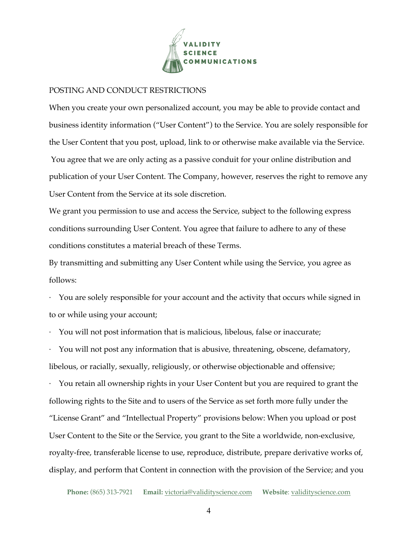

#### POSTING AND CONDUCT RESTRICTIONS

When you create your own personalized account, you may be able to provide contact and business identity information ("User Content") to the Service. You are solely responsible for the User Content that you post, upload, link to or otherwise make available via the Service. You agree that we are only acting as a passive conduit for your online distribution and publication of your User Content. The Company, however, reserves the right to remove any User Content from the Service at its sole discretion.

We grant you permission to use and access the Service, subject to the following express conditions surrounding User Content. You agree that failure to adhere to any of these conditions constitutes a material breach of these Terms.

By transmitting and submitting any User Content while using the Service, you agree as follows:

· You are solely responsible for your account and the activity that occurs while signed in to or while using your account;

· You will not post information that is malicious, libelous, false or inaccurate;

· You will not post any information that is abusive, threatening, obscene, defamatory, libelous, or racially, sexually, religiously, or otherwise objectionable and offensive;

· You retain all ownership rights in your User Content but you are required to grant the following rights to the Site and to users of the Service as set forth more fully under the "License Grant" and "Intellectual Property" provisions below: When you upload or post User Content to the Site or the Service, you grant to the Site a worldwide, non-exclusive, royalty-free, transferable license to use, reproduce, distribute, prepare derivative works of, display, and perform that Content in connection with the provision of the Service; and you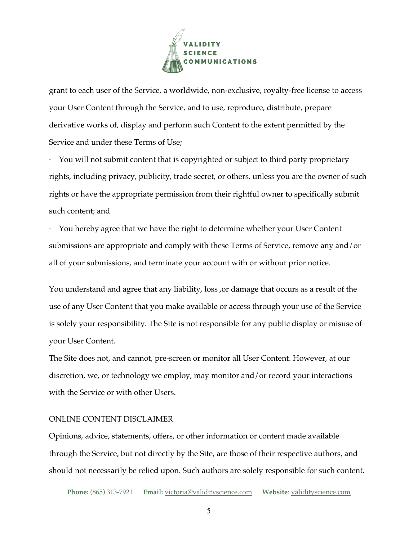

grant to each user of the Service, a worldwide, non-exclusive, royalty-free license to access your User Content through the Service, and to use, reproduce, distribute, prepare derivative works of, display and perform such Content to the extent permitted by the Service and under these Terms of Use;

You will not submit content that is copyrighted or subject to third party proprietary rights, including privacy, publicity, trade secret, or others, unless you are the owner of such rights or have the appropriate permission from their rightful owner to specifically submit such content; and

· You hereby agree that we have the right to determine whether your User Content submissions are appropriate and comply with these Terms of Service, remove any and/or all of your submissions, and terminate your account with or without prior notice.

You understand and agree that any liability, loss ,or damage that occurs as a result of the use of any User Content that you make available or access through your use of the Service is solely your responsibility. The Site is not responsible for any public display or misuse of your User Content.

The Site does not, and cannot, pre-screen or monitor all User Content. However, at our discretion, we, or technology we employ, may monitor and/or record your interactions with the Service or with other Users.

#### ONLINE CONTENT DISCLAIMER

Opinions, advice, statements, offers, or other information or content made available through the Service, but not directly by the Site, are those of their respective authors, and should not necessarily be relied upon. Such authors are solely responsible for such content.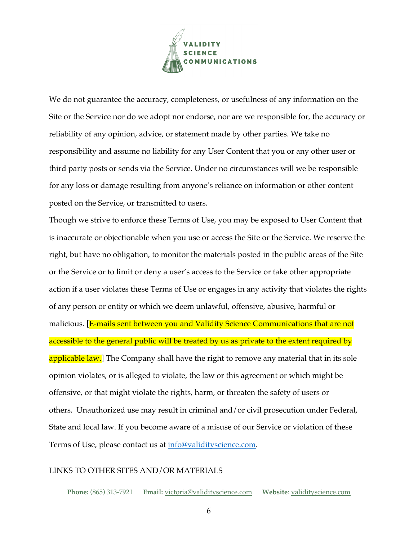

We do not guarantee the accuracy, completeness, or usefulness of any information on the Site or the Service nor do we adopt nor endorse, nor are we responsible for, the accuracy or reliability of any opinion, advice, or statement made by other parties. We take no responsibility and assume no liability for any User Content that you or any other user or third party posts or sends via the Service. Under no circumstances will we be responsible for any loss or damage resulting from anyone's reliance on information or other content posted on the Service, or transmitted to users.

Though we strive to enforce these Terms of Use, you may be exposed to User Content that is inaccurate or objectionable when you use or access the Site or the Service. We reserve the right, but have no obligation, to monitor the materials posted in the public areas of the Site or the Service or to limit or deny a user's access to the Service or take other appropriate action if a user violates these Terms of Use or engages in any activity that violates the rights of any person or entity or which we deem unlawful, offensive, abusive, harmful or malicious. [E-mails sent between you and Validity Science Communications that are not accessible to the general public will be treated by us as private to the extent required by applicable law.] The Company shall have the right to remove any material that in its sole opinion violates, or is alleged to violate, the law or this agreement or which might be offensive, or that might violate the rights, harm, or threaten the safety of users or others. Unauthorized use may result in criminal and/or civil prosecution under Federal, State and local law. If you become aware of a misuse of our Service or violation of these Terms of Use, please contact us at info@validityscience.com.

#### LINKS TO OTHER SITES AND/OR MATERIALS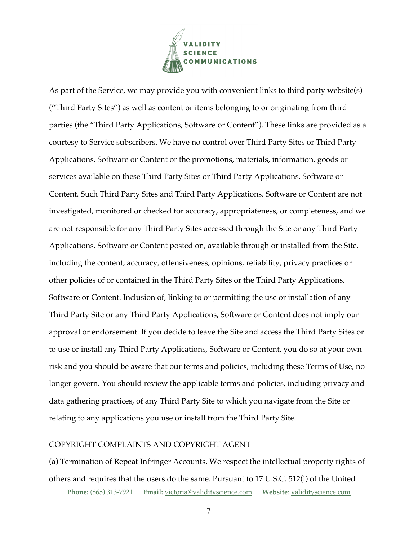

As part of the Service, we may provide you with convenient links to third party website(s) ("Third Party Sites") as well as content or items belonging to or originating from third parties (the "Third Party Applications, Software or Content"). These links are provided as a courtesy to Service subscribers. We have no control over Third Party Sites or Third Party Applications, Software or Content or the promotions, materials, information, goods or services available on these Third Party Sites or Third Party Applications, Software or Content. Such Third Party Sites and Third Party Applications, Software or Content are not investigated, monitored or checked for accuracy, appropriateness, or completeness, and we are not responsible for any Third Party Sites accessed through the Site or any Third Party Applications, Software or Content posted on, available through or installed from the Site, including the content, accuracy, offensiveness, opinions, reliability, privacy practices or other policies of or contained in the Third Party Sites or the Third Party Applications, Software or Content. Inclusion of, linking to or permitting the use or installation of any Third Party Site or any Third Party Applications, Software or Content does not imply our approval or endorsement. If you decide to leave the Site and access the Third Party Sites or to use or install any Third Party Applications, Software or Content, you do so at your own risk and you should be aware that our terms and policies, including these Terms of Use, no longer govern. You should review the applicable terms and policies, including privacy and data gathering practices, of any Third Party Site to which you navigate from the Site or relating to any applications you use or install from the Third Party Site.

## COPYRIGHT COMPLAINTS AND COPYRIGHT AGENT

**Phone:** (865) 313-7921 **Email:** victoria@validityscience.com **Website**: validityscience.com (a) Termination of Repeat Infringer Accounts. We respect the intellectual property rights of others and requires that the users do the same. Pursuant to 17 U.S.C. 512(i) of the United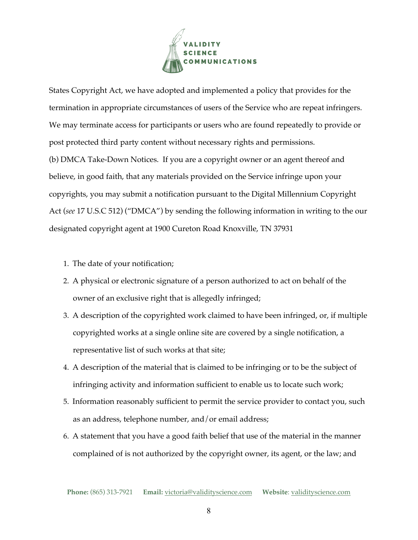

States Copyright Act, we have adopted and implemented a policy that provides for the termination in appropriate circumstances of users of the Service who are repeat infringers. We may terminate access for participants or users who are found repeatedly to provide or post protected third party content without necessary rights and permissions. (b) DMCA Take-Down Notices. If you are a copyright owner or an agent thereof and believe, in good faith, that any materials provided on the Service infringe upon your copyrights, you may submit a notification pursuant to the Digital Millennium Copyright Act (*see* 17 U.S.C 512) ("DMCA") by sending the following information in writing to the our designated copyright agent at 1900 Cureton Road Knoxville, TN 37931

- 1. The date of your notification;
- 2. A physical or electronic signature of a person authorized to act on behalf of the owner of an exclusive right that is allegedly infringed;
- 3. A description of the copyrighted work claimed to have been infringed, or, if multiple copyrighted works at a single online site are covered by a single notification, a representative list of such works at that site;
- 4. A description of the material that is claimed to be infringing or to be the subject of infringing activity and information sufficient to enable us to locate such work;
- 5. Information reasonably sufficient to permit the service provider to contact you, such as an address, telephone number, and/or email address;
- 6. A statement that you have a good faith belief that use of the material in the manner complained of is not authorized by the copyright owner, its agent, or the law; and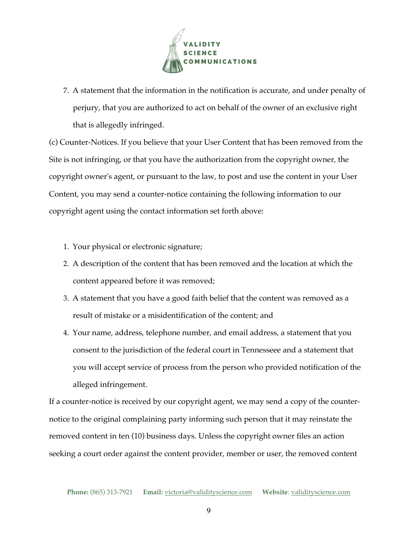

7. A statement that the information in the notification is accurate, and under penalty of perjury, that you are authorized to act on behalf of the owner of an exclusive right that is allegedly infringed.

(c) Counter-Notices. If you believe that your User Content that has been removed from the Site is not infringing, or that you have the authorization from the copyright owner, the copyright owner's agent, or pursuant to the law, to post and use the content in your User Content, you may send a counter-notice containing the following information to our copyright agent using the contact information set forth above:

- 1. Your physical or electronic signature;
- 2. A description of the content that has been removed and the location at which the content appeared before it was removed;
- 3. A statement that you have a good faith belief that the content was removed as a result of mistake or a misidentification of the content; and
- 4. Your name, address, telephone number, and email address, a statement that you consent to the jurisdiction of the federal court in Tennesseee and a statement that you will accept service of process from the person who provided notification of the alleged infringement.

If a counter-notice is received by our copyright agent, we may send a copy of the counternotice to the original complaining party informing such person that it may reinstate the removed content in ten (10) business days. Unless the copyright owner files an action seeking a court order against the content provider, member or user, the removed content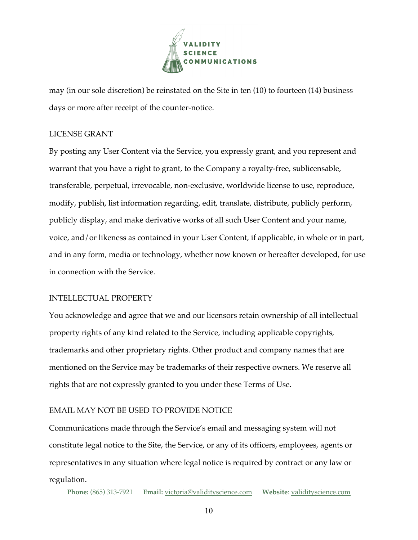

may (in our sole discretion) be reinstated on the Site in ten (10) to fourteen (14) business days or more after receipt of the counter-notice.

## LICENSE GRANT

By posting any User Content via the Service, you expressly grant, and you represent and warrant that you have a right to grant, to the Company a royalty-free, sublicensable, transferable, perpetual, irrevocable, non-exclusive, worldwide license to use, reproduce, modify, publish, list information regarding, edit, translate, distribute, publicly perform, publicly display, and make derivative works of all such User Content and your name, voice, and/or likeness as contained in your User Content, if applicable, in whole or in part, and in any form, media or technology, whether now known or hereafter developed, for use in connection with the Service.

# INTELLECTUAL PROPERTY

You acknowledge and agree that we and our licensors retain ownership of all intellectual property rights of any kind related to the Service, including applicable copyrights, trademarks and other proprietary rights. Other product and company names that are mentioned on the Service may be trademarks of their respective owners. We reserve all rights that are not expressly granted to you under these Terms of Use.

# EMAIL MAY NOT BE USED TO PROVIDE NOTICE

Communications made through the Service's email and messaging system will not constitute legal notice to the Site, the Service, or any of its officers, employees, agents or representatives in any situation where legal notice is required by contract or any law or regulation.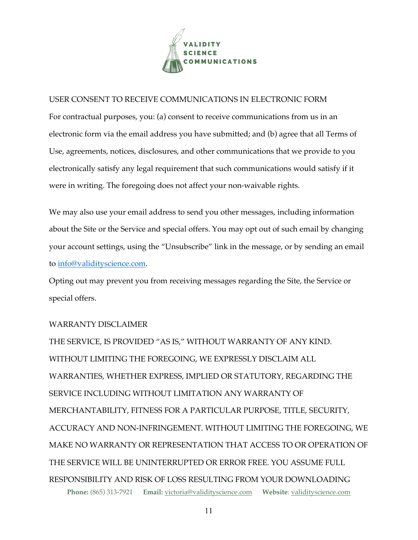

## USER CONSENT TO RECEIVE COMMUNICATIONS IN ELECTRONIC FORM

For contractual purposes, you: (a) consent to receive communications from us in an electronic form via the email address you have submitted; and (b) agree that all Terms of Use, agreements, notices, disclosures, and other communications that we provide to you electronically satisfy any legal requirement that such communications would satisfy if it were in writing. The foregoing does not affect your non-waivable rights.

We may also use your email address to send you other messages, including information about the Site or the Service and special offers. You may opt out of such email by changing your account settings, using the "Unsubscribe" link in the message, or by sending an email to info@validityscience.com.

Opting out may prevent you from receiving messages regarding the Site, the Service or special offers.

## WARRANTY DISCLAIMER

**Phone:** (865) 313-7921 **Email:** victoria@validityscience.com **Website**: validityscience.com THE SERVICE, IS PROVIDED "AS IS," WITHOUT WARRANTY OF ANY KIND. WITHOUT LIMITING THE FOREGOING, WE EXPRESSLY DISCLAIM ALL WARRANTIES, WHETHER EXPRESS, IMPLIED OR STATUTORY, REGARDING THE SERVICE INCLUDING WITHOUT LIMITATION ANY WARRANTY OF MERCHANTABILITY, FITNESS FOR A PARTICULAR PURPOSE, TITLE, SECURITY, ACCURACY AND NON-INFRINGEMENT. WITHOUT LIMITING THE FOREGOING, WE MAKE NO WARRANTY OR REPRESENTATION THAT ACCESS TO OR OPERATION OF THE SERVICE WILL BE UNINTERRUPTED OR ERROR FREE. YOU ASSUME FULL RESPONSIBILITY AND RISK OF LOSS RESULTING FROM YOUR DOWNLOADING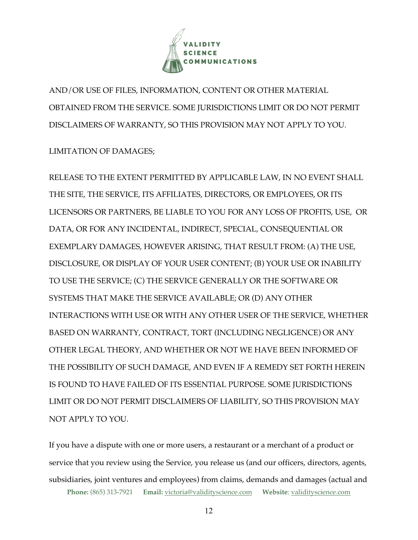

AND/OR USE OF FILES, INFORMATION, CONTENT OR OTHER MATERIAL OBTAINED FROM THE SERVICE. SOME JURISDICTIONS LIMIT OR DO NOT PERMIT DISCLAIMERS OF WARRANTY, SO THIS PROVISION MAY NOT APPLY TO YOU.

# LIMITATION OF DAMAGES;

RELEASE TO THE EXTENT PERMITTED BY APPLICABLE LAW, IN NO EVENT SHALL THE SITE, THE SERVICE, ITS AFFILIATES, DIRECTORS, OR EMPLOYEES, OR ITS LICENSORS OR PARTNERS, BE LIABLE TO YOU FOR ANY LOSS OF PROFITS, USE, OR DATA, OR FOR ANY INCIDENTAL, INDIRECT, SPECIAL, CONSEQUENTIAL OR EXEMPLARY DAMAGES, HOWEVER ARISING, THAT RESULT FROM: (A) THE USE, DISCLOSURE, OR DISPLAY OF YOUR USER CONTENT; (B) YOUR USE OR INABILITY TO USE THE SERVICE; (C) THE SERVICE GENERALLY OR THE SOFTWARE OR SYSTEMS THAT MAKE THE SERVICE AVAILABLE; OR (D) ANY OTHER INTERACTIONS WITH USE OR WITH ANY OTHER USER OF THE SERVICE, WHETHER BASED ON WARRANTY, CONTRACT, TORT (INCLUDING NEGLIGENCE) OR ANY OTHER LEGAL THEORY, AND WHETHER OR NOT WE HAVE BEEN INFORMED OF THE POSSIBILITY OF SUCH DAMAGE, AND EVEN IF A REMEDY SET FORTH HEREIN IS FOUND TO HAVE FAILED OF ITS ESSENTIAL PURPOSE. SOME JURISDICTIONS LIMIT OR DO NOT PERMIT DISCLAIMERS OF LIABILITY, SO THIS PROVISION MAY NOT APPLY TO YOU.

**Phone:** (865) 313-7921 **Email:** victoria@validityscience.com **Website**: validityscience.com If you have a dispute with one or more users, a restaurant or a merchant of a product or service that you review using the Service, you release us (and our officers, directors, agents, subsidiaries, joint ventures and employees) from claims, demands and damages (actual and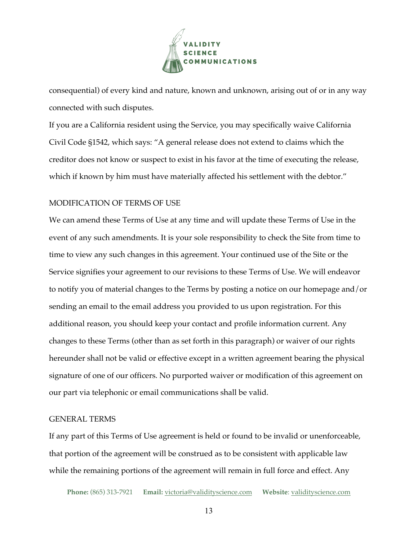

consequential) of every kind and nature, known and unknown, arising out of or in any way connected with such disputes.

If you are a California resident using the Service, you may specifically waive California Civil Code §1542, which says: "A general release does not extend to claims which the creditor does not know or suspect to exist in his favor at the time of executing the release, which if known by him must have materially affected his settlement with the debtor."

## MODIFICATION OF TERMS OF USE

We can amend these Terms of Use at any time and will update these Terms of Use in the event of any such amendments. It is your sole responsibility to check the Site from time to time to view any such changes in this agreement. Your continued use of the Site or the Service signifies your agreement to our revisions to these Terms of Use. We will endeavor to notify you of material changes to the Terms by posting a notice on our homepage and/or sending an email to the email address you provided to us upon registration. For this additional reason, you should keep your contact and profile information current. Any changes to these Terms (other than as set forth in this paragraph) or waiver of our rights hereunder shall not be valid or effective except in a written agreement bearing the physical signature of one of our officers. No purported waiver or modification of this agreement on our part via telephonic or email communications shall be valid.

#### GENERAL TERMS

If any part of this Terms of Use agreement is held or found to be invalid or unenforceable, that portion of the agreement will be construed as to be consistent with applicable law while the remaining portions of the agreement will remain in full force and effect. Any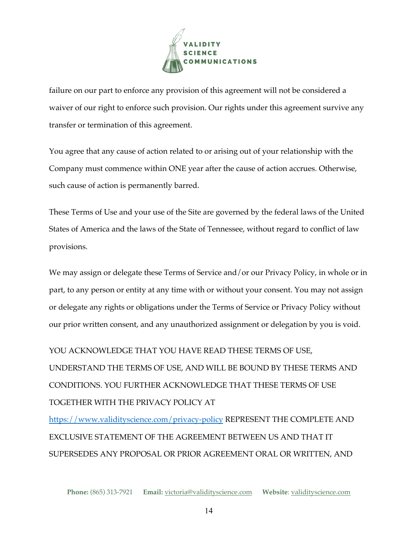

failure on our part to enforce any provision of this agreement will not be considered a waiver of our right to enforce such provision. Our rights under this agreement survive any transfer or termination of this agreement.

You agree that any cause of action related to or arising out of your relationship with the Company must commence within ONE year after the cause of action accrues. Otherwise, such cause of action is permanently barred.

These Terms of Use and your use of the Site are governed by the federal laws of the United States of America and the laws of the State of Tennessee, without regard to conflict of law provisions.

We may assign or delegate these Terms of Service and/or our Privacy Policy, in whole or in part, to any person or entity at any time with or without your consent. You may not assign or delegate any rights or obligations under the Terms of Service or Privacy Policy without our prior written consent, and any unauthorized assignment or delegation by you is void.

YOU ACKNOWLEDGE THAT YOU HAVE READ THESE TERMS OF USE, UNDERSTAND THE TERMS OF USE, AND WILL BE BOUND BY THESE TERMS AND CONDITIONS. YOU FURTHER ACKNOWLEDGE THAT THESE TERMS OF USE TOGETHER WITH THE PRIVACY POLICY AT

https://www.validityscience.com/privacy-policy REPRESENT THE COMPLETE AND EXCLUSIVE STATEMENT OF THE AGREEMENT BETWEEN US AND THAT IT SUPERSEDES ANY PROPOSAL OR PRIOR AGREEMENT ORAL OR WRITTEN, AND